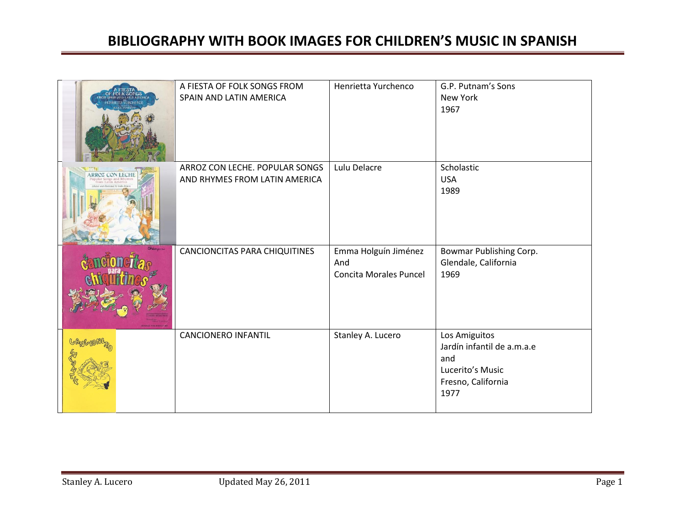|                      | A FIESTA OF FOLK SONGS FROM<br>SPAIN AND LATIN AMERICA          | Henrietta Yurchenco                                          | G.P. Putnam's Sons<br>New York<br>1967                                                               |
|----------------------|-----------------------------------------------------------------|--------------------------------------------------------------|------------------------------------------------------------------------------------------------------|
| <b>ROZ CON LECHI</b> | ARROZ CON LECHE. POPULAR SONGS<br>AND RHYMES FROM LATIN AMERICA | Lulu Delacre                                                 | Scholastic<br><b>USA</b><br>1989                                                                     |
|                      | CANCIONCITAS PARA CHIQUITINES                                   | Emma Holguín Jiménez<br>And<br><b>Concita Morales Puncel</b> | Bowmar Publishing Corp.<br>Glendale, California<br>1969                                              |
|                      | <b>CANCIONERO INFANTIL</b>                                      | Stanley A. Lucero                                            | Los Amiguitos<br>Jardín infantil de a.m.a.e<br>and<br>Lucerito's Music<br>Fresno, California<br>1977 |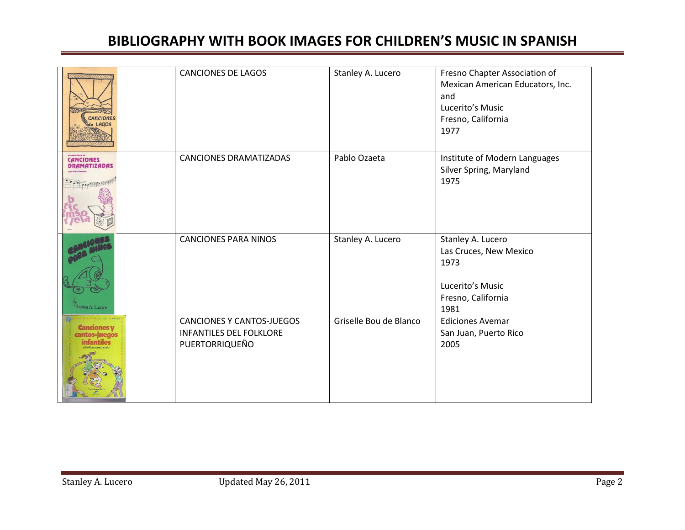| <b>CANCIONES</b><br>e LAGOS             | <b>CANCIONES DE LAGOS</b>                                                            | Stanley A. Lucero      | Fresno Chapter Association of<br>Mexican American Educators, Inc.<br>and<br>Lucerito's Music<br>Fresno, California<br>1977 |
|-----------------------------------------|--------------------------------------------------------------------------------------|------------------------|----------------------------------------------------------------------------------------------------------------------------|
| <b>CANCIONES</b><br><b>DRAMATIZADAS</b> | <b>CANCIONES DRAMATIZADAS</b>                                                        | Pablo Ozaeta           | Institute of Modern Languages<br>Silver Spring, Maryland<br>1975                                                           |
| Stanley A. Lucero                       | <b>CANCIONES PARA NINOS</b>                                                          | Stanley A. Lucero      | Stanley A. Lucero<br>Las Cruces, New Mexico<br>1973<br>Lucerito's Music<br>Fresno, California<br>1981                      |
| Canciones v                             | <b>CANCIONES Y CANTOS-JUEGOS</b><br><b>INFANTILES DEL FOLKLORE</b><br>PUERTORRIQUEÑO | Griselle Bou de Blanco | <b>Ediciones Avemar</b><br>San Juan, Puerto Rico<br>2005                                                                   |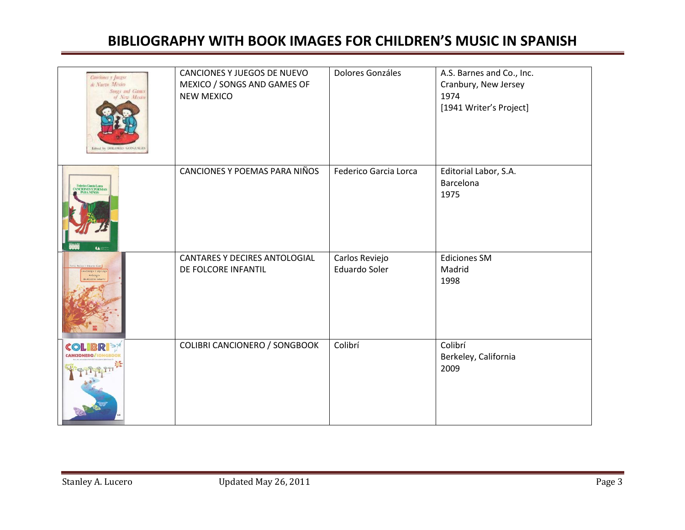| Canciones y Juegos<br>de Nuevo México<br>Songs and Games<br>of New Mexico<br>Edned by DOLORES SONZALI | CANCIONES Y JUEGOS DE NUEVO<br>MEXICO / SONGS AND GAMES OF<br><b>NEW MEXICO</b> | Dolores Gonzáles                | A.S. Barnes and Co., Inc.<br>Cranbury, New Jersey<br>1974<br>[1941 Writer's Project] |
|-------------------------------------------------------------------------------------------------------|---------------------------------------------------------------------------------|---------------------------------|--------------------------------------------------------------------------------------|
| Federico Gancia Lorca<br>CANCIONES Y POEMAS<br>CANRA NIÑOS<br><b>A</b>                                | CANCIONES Y POEMAS PARA NIÑOS                                                   | Federico Garcia Lorca           | Editorial Labor, S.A.<br>Barcelona<br>1975                                           |
| Review C.Fdsards Sales                                                                                | CANTARES Y DECIRES ANTOLOGIAL<br>DE FOLCORE INFANTIL                            | Carlos Reviejo<br>Eduardo Soler | <b>Ediciones SM</b><br>Madrid<br>1998                                                |
| CO                                                                                                    | <b>COLIBRI CANCIONERO / SONGBOOK</b>                                            | Colibrí                         | Colibrí<br>Berkeley, California<br>2009                                              |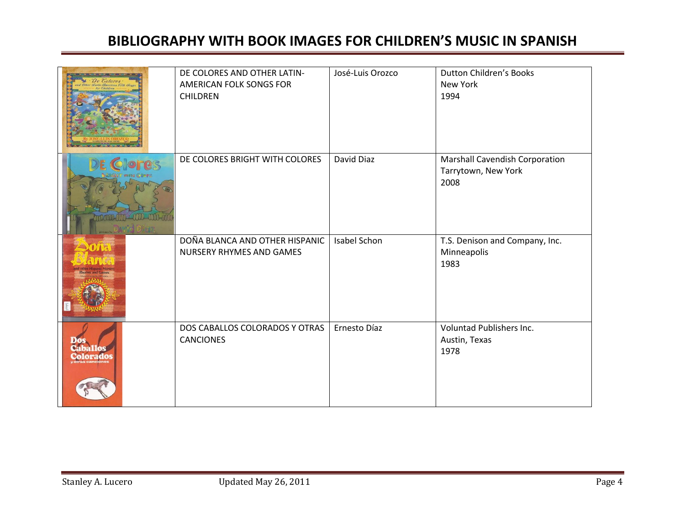| merican Folk Song     | DE COLORES AND OTHER LATIN-<br>AMERICAN FOLK SONGS FOR<br><b>CHILDREN</b> | José-Luis Orozco | <b>Dutton Children's Books</b><br>New York<br>1994            |
|-----------------------|---------------------------------------------------------------------------|------------------|---------------------------------------------------------------|
|                       | DE COLORES BRIGHT WITH COLORES                                            | David Diaz       | Marshall Cavendish Corporation<br>Tarrytown, New York<br>2008 |
| <b>YOTAR</b>          | DOÑA BLANCA AND OTHER HISPANIC<br><b>NURSERY RHYMES AND GAMES</b>         | Isabel Schon     | T.S. Denison and Company, Inc.<br>Minneapolis<br>1983         |
| Caballos<br>Colorados | DOS CABALLOS COLORADOS Y OTRAS<br><b>CANCIONES</b>                        | Ernesto Díaz     | Voluntad Publishers Inc.<br>Austin, Texas<br>1978             |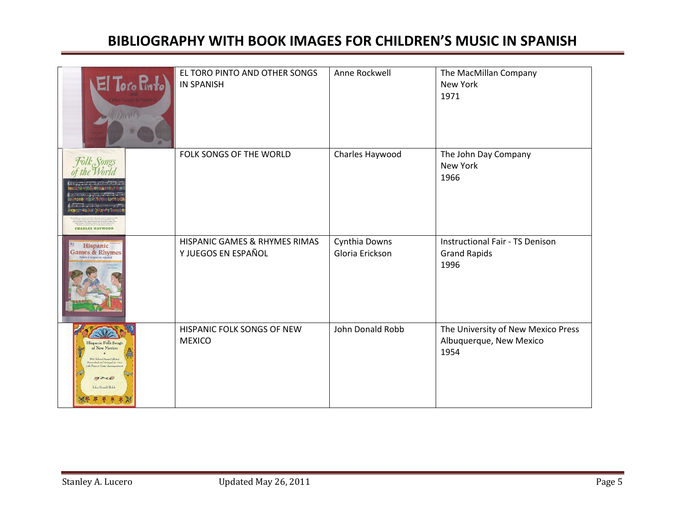| El Toro Pinto)<br><b>MARIA</b>                                                                                                          | EL TORO PINTO AND OTHER SONGS<br><b>IN SPANISH</b>   | Anne Rockwell                    | The MacMillan Company<br>New York<br>1971                             |
|-----------------------------------------------------------------------------------------------------------------------------------------|------------------------------------------------------|----------------------------------|-----------------------------------------------------------------------|
| Folk <sub>e</sub> Songs<br><b>CHARLES HAYWOOD</b>                                                                                       | FOLK SONGS OF THE WORLD                              | Charles Haywood                  | The John Day Company<br>New York<br>1966                              |
| Hispanic<br>Games & Rhymes                                                                                                              | HISPANIC GAMES & RHYMES RIMAS<br>Y JUEGOS EN ESPAÑOL | Cynthia Downs<br>Gloria Erickson | <b>Instructional Fair - TS Denison</b><br><b>Grand Rapids</b><br>1996 |
| Hispanic Folle Songs<br>of New Mexico<br>Rite Robert & Same Calledge<br>and Arranged for Voice<br>$19 - 487$<br>John Donald Robb<br>零 米 | HISPANIC FOLK SONGS OF NEW<br><b>MEXICO</b>          | John Donald Robb                 | The University of New Mexico Press<br>Albuquerque, New Mexico<br>1954 |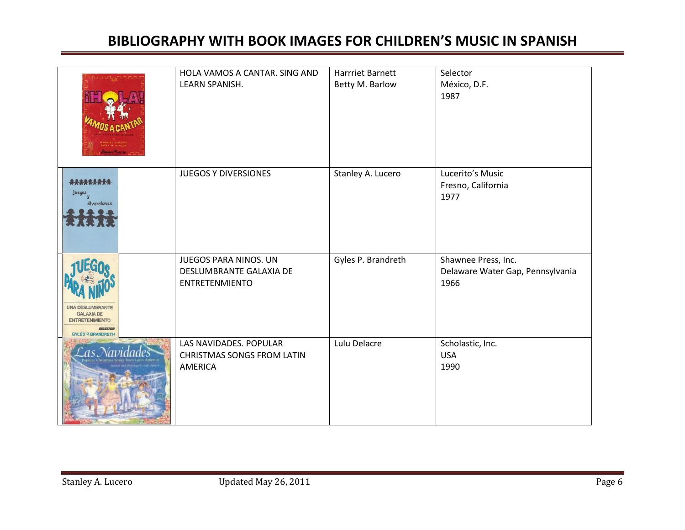|                                                                                                                | HOLA VAMOS A CANTAR. SING AND<br>LEARN SPANISH.                                  | <b>Harrriet Barnett</b><br>Betty M. Barlow | Selector<br>México, D.F.<br>1987                                |
|----------------------------------------------------------------------------------------------------------------|----------------------------------------------------------------------------------|--------------------------------------------|-----------------------------------------------------------------|
| *********<br>Juegos<br>diversiones                                                                             | <b>JUEGOS Y DIVERSIONES</b>                                                      | Stanley A. Lucero                          | Lucerito's Music<br>Fresno, California<br>1977                  |
| <b>UNA DESLUMBRANTE</b><br><b>GALAXIA DE</b><br><b>ENTRETENIMIENTO</b><br>SELECTOR<br><b>GYLES P. BRANDRET</b> | <b>JUEGOS PARA NINOS. UN</b><br>DESLUMBRANTE GALAXIA DE<br><b>ENTRETENMIENTO</b> | Gyles P. Brandreth                         | Shawnee Press, Inc.<br>Delaware Water Gap, Pennsylvania<br>1966 |
|                                                                                                                | LAS NAVIDADES. POPULAR<br><b>CHRISTMAS SONGS FROM LATIN</b><br>AMERICA           | Lulu Delacre                               | Scholastic, Inc.<br><b>USA</b><br>1990                          |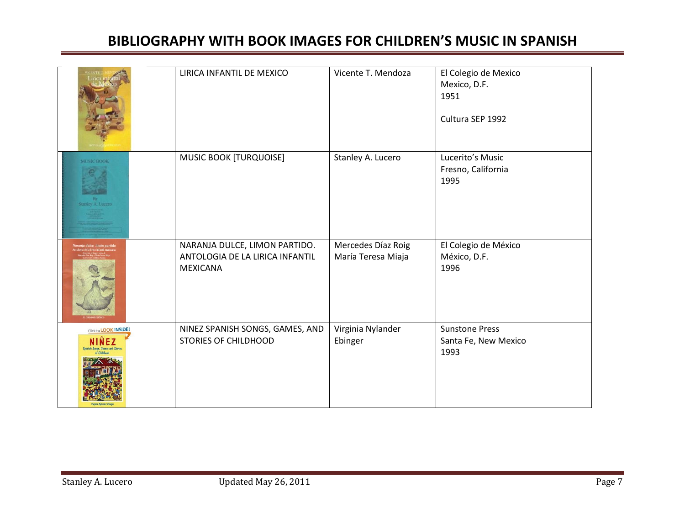|                                                     | LIRICA INFANTIL DE MEXICO                                                           | Vicente T. Mendoza                       | El Colegio de Mexico<br>Mexico, D.F.<br>1951<br>Cultura SEP 1992 |
|-----------------------------------------------------|-------------------------------------------------------------------------------------|------------------------------------------|------------------------------------------------------------------|
| <b>MUSIC BOOK</b>                                   | MUSIC BOOK [TURQUOISE]                                                              | Stanley A. Lucero                        | Lucerito's Music<br>Fresno, California<br>1995                   |
|                                                     | NARANJA DULCE, LIMON PARTIDO.<br>ANTOLOGIA DE LA LIRICA INFANTIL<br><b>MEXICANA</b> | Mercedes Díaz Roig<br>María Teresa Miaja | El Colegio de México<br>México, D.F.<br>1996                     |
| Click to <b>LOOK INSIDE!</b><br>te. Games and Stark | NINEZ SPANISH SONGS, GAMES, AND<br><b>STORIES OF CHILDHOOD</b>                      | Virginia Nylander<br>Ebinger             | <b>Sunstone Press</b><br>Santa Fe, New Mexico<br>1993            |